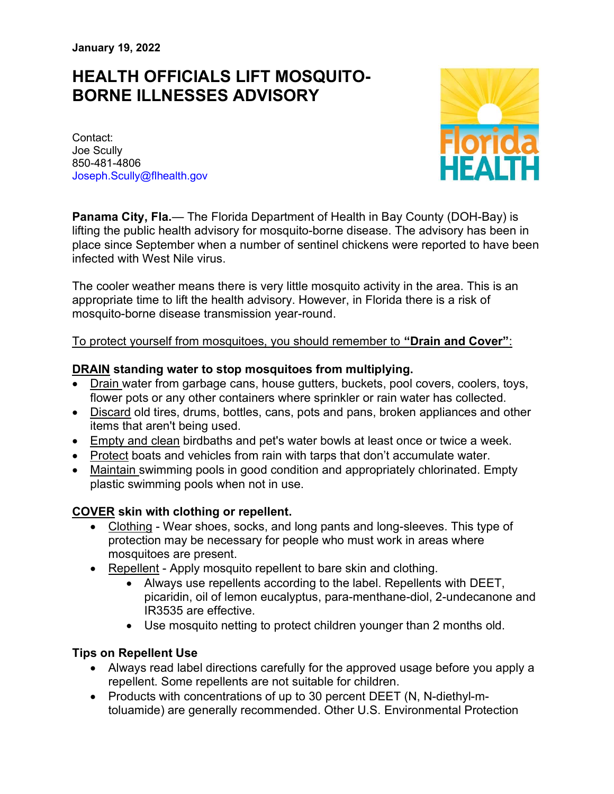January 19, 2022

# HEALTH OFFICIALS LIFT MOSQUITO-BORNE ILLNESSES ADVISORY

Contact: Joe Scully 850-481-4806 Joseph.Scully@flhealth.gov



Panama City, Fla.— The Florida Department of Health in Bay County (DOH-Bay) is lifting the public health advisory for mosquito-borne disease. The advisory has been in place since September when a number of sentinel chickens were reported to have been infected with West Nile virus.

The cooler weather means there is very little mosquito activity in the area. This is an appropriate time to lift the health advisory. However, in Florida there is a risk of mosquito-borne disease transmission year-round.

#### To protect yourself from mosquitoes, you should remember to "Drain and Cover":

#### DRAIN standing water to stop mosquitoes from multiplying.

- Drain water from garbage cans, house gutters, buckets, pool covers, coolers, toys, flower pots or any other containers where sprinkler or rain water has collected.
- Discard old tires, drums, bottles, cans, pots and pans, broken appliances and other items that aren't being used.
- **Empty and clean birdbaths and pet's water bowls at least once or twice a week.**
- Protect boats and vehicles from rain with tarps that don't accumulate water.
- Maintain swimming pools in good condition and appropriately chlorinated. Empty plastic swimming pools when not in use.

# COVER skin with clothing or repellent.

- Clothing Wear shoes, socks, and long pants and long-sleeves. This type of protection may be necessary for people who must work in areas where mosquitoes are present.
- Repellent Apply mosquito repellent to bare skin and clothing.
	- Always use repellents according to the label. Repellents with DEET, picaridin, oil of lemon eucalyptus, para-menthane-diol, 2-undecanone and IR3535 are effective.
	- Use mosquito netting to protect children younger than 2 months old.

# Tips on Repellent Use

- Always read label directions carefully for the approved usage before you apply a repellent. Some repellents are not suitable for children.
- Products with concentrations of up to 30 percent DEET (N, N-diethyl-mtoluamide) are generally recommended. Other U.S. Environmental Protection